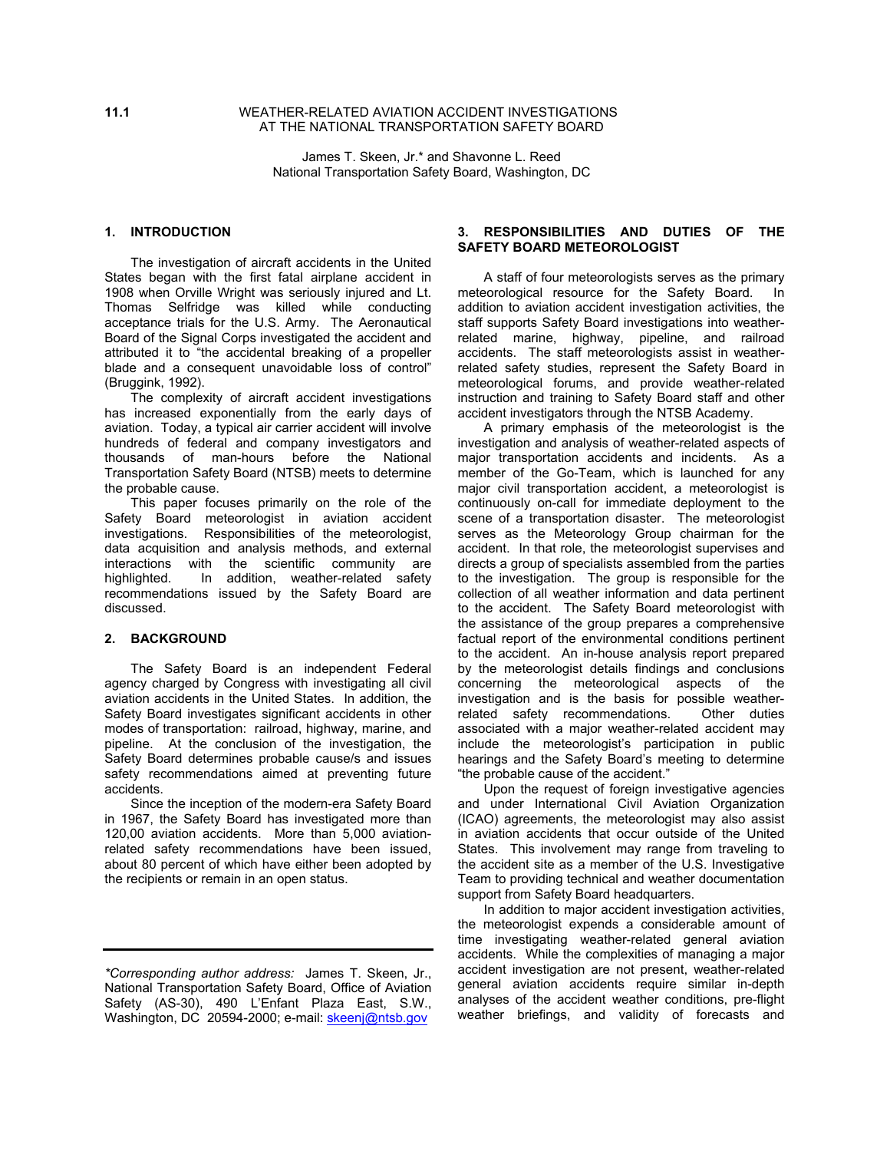#### **11.1** WEATHER-RELATED AVIATION ACCIDENT INVESTIGATIONS AT THE NATIONAL TRANSPORTATION SAFETY BOARD

James T. Skeen, Jr.\* and Shavonne L. Reed National Transportation Safety Board, Washington, DC

## **1. INTRODUCTION**

 The investigation of aircraft accidents in the United States began with the first fatal airplane accident in 1908 when Orville Wright was seriously injured and Lt. Thomas Selfridge was killed while conducting acceptance trials for the U.S. Army. The Aeronautical Board of the Signal Corps investigated the accident and attributed it to "the accidental breaking of a propeller blade and a consequent unavoidable loss of control" (Bruggink, 1992).

The complexity of aircraft accident investigations has increased exponentially from the early days of aviation. Today, a typical air carrier accident will involve hundreds of federal and company investigators and thousands of man-hours before the National Transportation Safety Board (NTSB) meets to determine the probable cause.

 This paper focuses primarily on the role of the Safety Board meteorologist in aviation accident investigations. Responsibilities of the meteorologist, data acquisition and analysis methods, and external interactions with the scientific community are highlighted. In addition, weather-related safety recommendations issued by the Safety Board are discussed.

#### **2. BACKGROUND**

 The Safety Board is an independent Federal agency charged by Congress with investigating all civil aviation accidents in the United States. In addition, the Safety Board investigates significant accidents in other modes of transportation: railroad, highway, marine, and pipeline. At the conclusion of the investigation, the Safety Board determines probable cause/s and issues safety recommendations aimed at preventing future accidents.

 Since the inception of the modern-era Safety Board in 1967, the Safety Board has investigated more than 120,00 aviation accidents. More than 5,000 aviationrelated safety recommendations have been issued, about 80 percent of which have either been adopted by the recipients or remain in an open status.

# **3. RESPONSIBILITIES AND DUTIES OF THE SAFETY BOARD METEOROLOGIST**

 A staff of four meteorologists serves as the primary meteorological resource for the Safety Board. In addition to aviation accident investigation activities, the staff supports Safety Board investigations into weatherrelated marine, highway, pipeline, and railroad accidents. The staff meteorologists assist in weatherrelated safety studies, represent the Safety Board in meteorological forums, and provide weather-related instruction and training to Safety Board staff and other accident investigators through the NTSB Academy.

 A primary emphasis of the meteorologist is the investigation and analysis of weather-related aspects of major transportation accidents and incidents. As a member of the Go-Team, which is launched for any major civil transportation accident, a meteorologist is continuously on-call for immediate deployment to the scene of a transportation disaster. The meteorologist serves as the Meteorology Group chairman for the accident. In that role, the meteorologist supervises and directs a group of specialists assembled from the parties to the investigation. The group is responsible for the collection of all weather information and data pertinent to the accident. The Safety Board meteorologist with the assistance of the group prepares a comprehensive factual report of the environmental conditions pertinent to the accident. An in-house analysis report prepared by the meteorologist details findings and conclusions concerning the meteorological aspects of the investigation and is the basis for possible weatherrelated safety recommendations. Other duties associated with a major weather-related accident may include the meteorologist's participation in public hearings and the Safety Board's meeting to determine "the probable cause of the accident."

 Upon the request of foreign investigative agencies and under International Civil Aviation Organization (ICAO) agreements, the meteorologist may also assist in aviation accidents that occur outside of the United States. This involvement may range from traveling to the accident site as a member of the U.S. Investigative Team to providing technical and weather documentation support from Safety Board headquarters.

 In addition to major accident investigation activities, the meteorologist expends a considerable amount of time investigating weather-related general aviation accidents. While the complexities of managing a major accident investigation are not present, weather-related general aviation accidents require similar in-depth analyses of the accident weather conditions, pre-flight weather briefings, and validity of forecasts and

*<sup>\*</sup>Corresponding author address:* James T. Skeen, Jr., National Transportation Safety Board, Office of Aviation Safety (AS-30), 490 L'Enfant Plaza East, S.W., Washington, DC 20594-2000; e-mail: [skeenj@ntsb.gov](mailto:skeenj@ntsb.gov)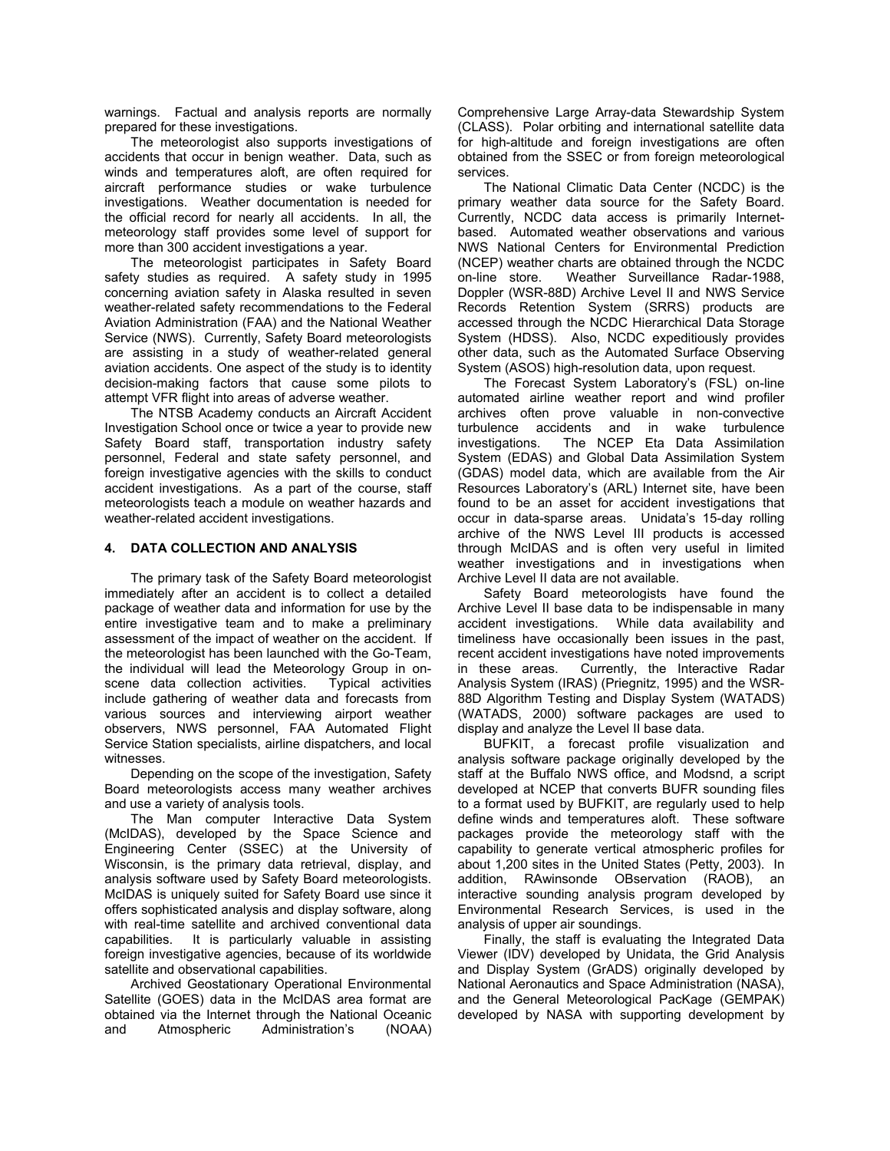warnings. Factual and analysis reports are normally prepared for these investigations.

 The meteorologist also supports investigations of accidents that occur in benign weather. Data, such as winds and temperatures aloft, are often required for aircraft performance studies or wake turbulence investigations. Weather documentation is needed for the official record for nearly all accidents. In all, the meteorology staff provides some level of support for more than 300 accident investigations a year.

 The meteorologist participates in Safety Board safety studies as required. A safety study in 1995 concerning aviation safety in Alaska resulted in seven weather-related safety recommendations to the Federal Aviation Administration (FAA) and the National Weather Service (NWS). Currently, Safety Board meteorologists are assisting in a study of weather-related general aviation accidents. One aspect of the study is to identity decision-making factors that cause some pilots to attempt VFR flight into areas of adverse weather.

 The NTSB Academy conducts an Aircraft Accident Investigation School once or twice a year to provide new Safety Board staff, transportation industry safety personnel, Federal and state safety personnel, and foreign investigative agencies with the skills to conduct accident investigations. As a part of the course, staff meteorologists teach a module on weather hazards and weather-related accident investigations.

#### **4. DATA COLLECTION AND ANALYSIS**

The primary task of the Safety Board meteorologist immediately after an accident is to collect a detailed package of weather data and information for use by the entire investigative team and to make a preliminary assessment of the impact of weather on the accident. If the meteorologist has been launched with the Go-Team, the individual will lead the Meteorology Group in onscene data collection activities. Typical activities include gathering of weather data and forecasts from various sources and interviewing airport weather observers, NWS personnel, FAA Automated Flight Service Station specialists, airline dispatchers, and local witnesses.

Depending on the scope of the investigation, Safety Board meteorologists access many weather archives and use a variety of analysis tools.

The Man computer Interactive Data System (McIDAS), developed by the Space Science and Engineering Center (SSEC) at the University of Wisconsin, is the primary data retrieval, display, and analysis software used by Safety Board meteorologists. McIDAS is uniquely suited for Safety Board use since it offers sophisticated analysis and display software, along with real-time satellite and archived conventional data capabilities. It is particularly valuable in assisting foreign investigative agencies, because of its worldwide satellite and observational capabilities.

Archived Geostationary Operational Environmental Satellite (GOES) data in the McIDAS area format are obtained via the Internet through the National Oceanic and Atmospheric Administration's (NOAA) Comprehensive Large Array-data Stewardship System (CLASS). Polar orbiting and international satellite data for high-altitude and foreign investigations are often obtained from the SSEC or from foreign meteorological services.

The National Climatic Data Center (NCDC) is the primary weather data source for the Safety Board. Currently, NCDC data access is primarily Internetbased. Automated weather observations and various NWS National Centers for Environmental Prediction (NCEP) weather charts are obtained through the NCDC on-line store. Weather Surveillance Radar-1988, Doppler (WSR-88D) Archive Level II and NWS Service Records Retention System (SRRS) products are accessed through the NCDC Hierarchical Data Storage System (HDSS). Also, NCDC expeditiously provides other data, such as the Automated Surface Observing System (ASOS) high-resolution data, upon request.

The Forecast System Laboratory's (FSL) on-line automated airline weather report and wind profiler archives often prove valuable in non-convective turbulence accidents and in wake turbulence investigations. The NCEP Eta Data Assimilation System (EDAS) and Global Data Assimilation System (GDAS) model data, which are available from the Air Resources Laboratory's (ARL) Internet site, have been found to be an asset for accident investigations that occur in data-sparse areas. Unidataís 15-day rolling archive of the NWS Level III products is accessed through McIDAS and is often very useful in limited weather investigations and in investigations when Archive Level II data are not available.

Safety Board meteorologists have found the Archive Level II base data to be indispensable in many accident investigations. While data availability and timeliness have occasionally been issues in the past, recent accident investigations have noted improvements in these areas. Currently, the Interactive Radar Analysis System (IRAS) (Priegnitz, 1995) and the WSR-88D Algorithm Testing and Display System (WATADS) (WATADS, 2000) software packages are used to display and analyze the Level II base data.

BUFKIT, a forecast profile visualization and analysis software package originally developed by the staff at the Buffalo NWS office, and Modsnd, a script developed at NCEP that converts BUFR sounding files to a format used by BUFKIT, are regularly used to help define winds and temperatures aloft. These software packages provide the meteorology staff with the capability to generate vertical atmospheric profiles for about 1,200 sites in the United States (Petty, 2003). In addition, RAwinsonde OBservation (RAOB), an interactive sounding analysis program developed by Environmental Research Services, is used in the analysis of upper air soundings.

Finally, the staff is evaluating the Integrated Data Viewer (IDV) developed by Unidata, the Grid Analysis and Display System (GrADS) originally developed by National Aeronautics and Space Administration (NASA), and the General Meteorological PacKage (GEMPAK) developed by NASA with supporting development by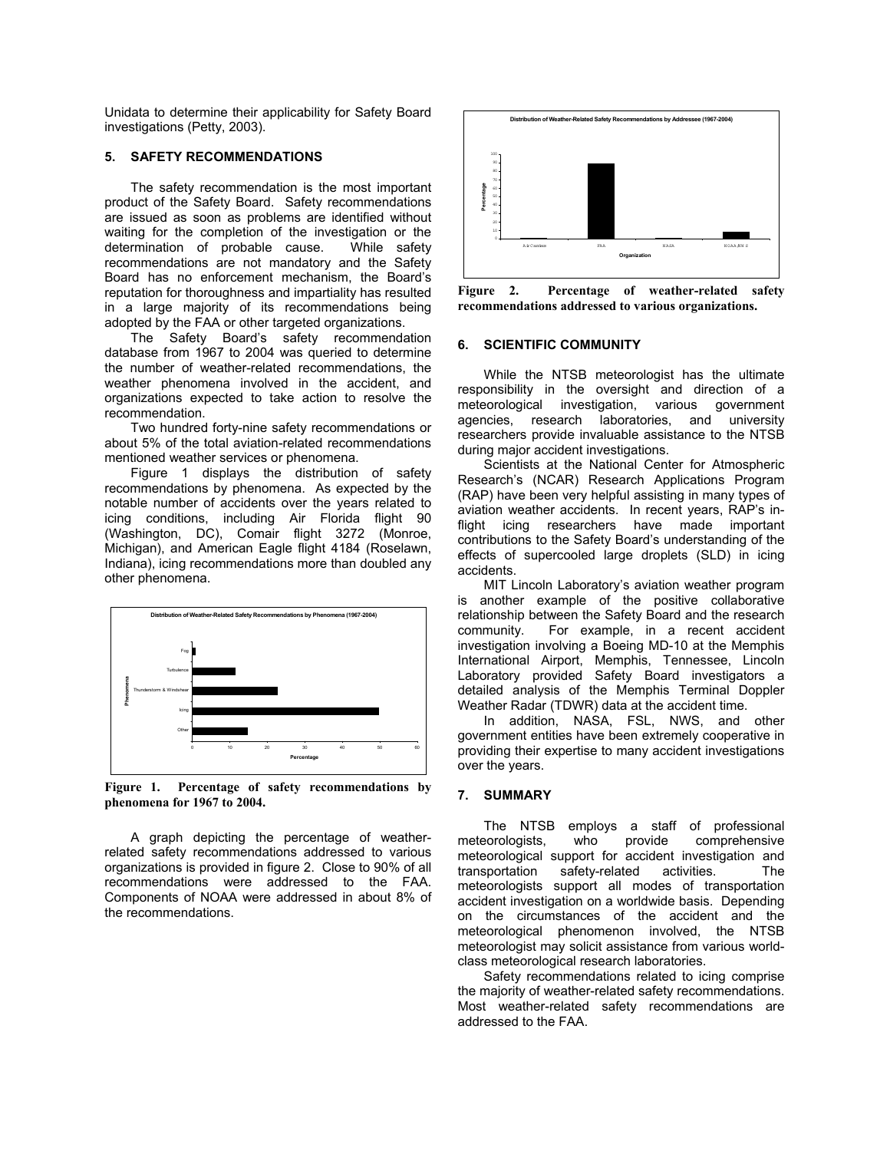Unidata to determine their applicability for Safety Board investigations (Petty, 2003).

#### **5. SAFETY RECOMMENDATIONS**

The safety recommendation is the most important product of the Safety Board. Safety recommendations are issued as soon as problems are identified without waiting for the completion of the investigation or the determination of probable cause. While safety recommendations are not mandatory and the Safety Board has no enforcement mechanism, the Board's reputation for thoroughness and impartiality has resulted in a large majority of its recommendations being adopted by the FAA or other targeted organizations.

The Safety Board's safety recommendation database from 1967 to 2004 was queried to determine the number of weather-related recommendations, the weather phenomena involved in the accident, and organizations expected to take action to resolve the recommendation.

Two hundred forty-nine safety recommendations or about 5% of the total aviation-related recommendations mentioned weather services or phenomena.

Figure 1 displays the distribution of safety recommendations by phenomena. As expected by the notable number of accidents over the years related to icing conditions, including Air Florida flight 90 (Washington, DC), Comair flight 3272 (Monroe, Michigan), and American Eagle flight 4184 (Roselawn, Indiana), icing recommendations more than doubled any other phenomena.



**Figure 1. Percentage of safety recommendations by phenomena for 1967 to 2004.** 

A graph depicting the percentage of weatherrelated safety recommendations addressed to various organizations is provided in figure 2. Close to 90% of all recommendations were addressed to the FAA. Components of NOAA were addressed in about 8% of the recommendations.



**Figure 2. Percentage of weather-related safety recommendations addressed to various organizations.** 

#### **6. SCIENTIFIC COMMUNITY**

While the NTSB meteorologist has the ultimate responsibility in the oversight and direction of a meteorological investigation, various government meteorological investigation, various agencies, research laboratories, and university researchers provide invaluable assistance to the NTSB during major accident investigations.

Scientists at the National Center for Atmospheric Researchís (NCAR) Research Applications Program (RAP) have been very helpful assisting in many types of aviation weather accidents. In recent years, RAP's inflight icing researchers have made important contributions to the Safety Board's understanding of the effects of supercooled large droplets (SLD) in icing accidents.

MIT Lincoln Laboratory's aviation weather program is another example of the positive collaborative relationship between the Safety Board and the research community. For example, in a recent accident For example, in a recent accident investigation involving a Boeing MD-10 at the Memphis International Airport, Memphis, Tennessee, Lincoln Laboratory provided Safety Board investigators a detailed analysis of the Memphis Terminal Doppler Weather Radar (TDWR) data at the accident time.

In addition, NASA, FSL, NWS, and other government entities have been extremely cooperative in providing their expertise to many accident investigations over the years.

#### **7. SUMMARY**

The NTSB employs a staff of professional meteorologists, who provide comprehensive meteorological support for accident investigation and transportation safety-related activities. The meteorologists support all modes of transportation accident investigation on a worldwide basis. Depending on the circumstances of the accident and the meteorological phenomenon involved, the NTSB meteorologist may solicit assistance from various worldclass meteorological research laboratories.

Safety recommendations related to icing comprise the majority of weather-related safety recommendations. Most weather-related safety recommendations are addressed to the FAA.